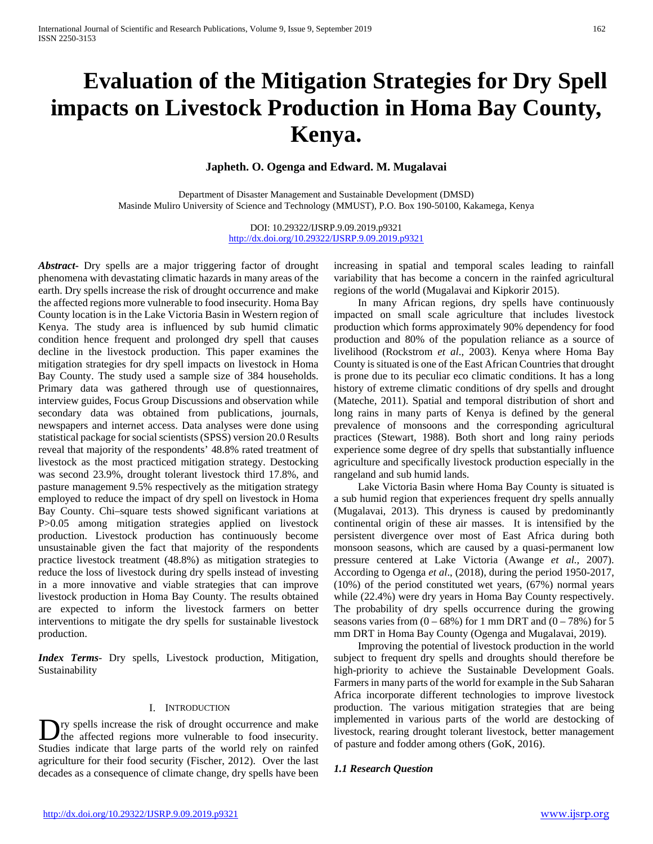# **Evaluation of the Mitigation Strategies for Dry Spell impacts on Livestock Production in Homa Bay County, Kenya.**

**Japheth. O. Ogenga and Edward. M. Mugalavai**

Department of Disaster Management and Sustainable Development (DMSD) Masinde Muliro University of Science and Technology (MMUST), P.O. Box 190-50100, Kakamega, Kenya

> DOI: 10.29322/IJSRP.9.09.2019.p9321 <http://dx.doi.org/10.29322/IJSRP.9.09.2019.p9321>

*Abstract***-** Dry spells are a major triggering factor of drought phenomena with devastating climatic hazards in many areas of the earth. Dry spells increase the risk of drought occurrence and make the affected regions more vulnerable to food insecurity. Homa Bay County location is in the Lake Victoria Basin in Western region of Kenya. The study area is influenced by sub humid climatic condition hence frequent and prolonged dry spell that causes decline in the livestock production. This paper examines the mitigation strategies for dry spell impacts on livestock in Homa Bay County. The study used a sample size of 384 households. Primary data was gathered through use of questionnaires, interview guides, Focus Group Discussions and observation while secondary data was obtained from publications, journals, newspapers and internet access. Data analyses were done using statistical package for social scientists (SPSS) version 20.0 Results reveal that majority of the respondents' 48.8% rated treatment of livestock as the most practiced mitigation strategy. Destocking was second 23.9%, drought tolerant livestock third 17.8%, and pasture management 9.5% respectively as the mitigation strategy employed to reduce the impact of dry spell on livestock in Homa Bay County. Chi–square tests showed significant variations at P>0.05 among mitigation strategies applied on livestock production. Livestock production has continuously become unsustainable given the fact that majority of the respondents practice livestock treatment (48.8%) as mitigation strategies to reduce the loss of livestock during dry spells instead of investing in a more innovative and viable strategies that can improve livestock production in Homa Bay County. The results obtained are expected to inform the livestock farmers on better interventions to mitigate the dry spells for sustainable livestock production.

*Index Terms*- Dry spells, Livestock production, Mitigation, Sustainability

# I. INTRODUCTION

ry spells increase the risk of drought occurrence and make **If** the affected regions more vulnerable to food insecurity. Studies indicate that large parts of the world rely on rainfed agriculture for their food security (Fischer, 2012). Over the last decades as a consequence of climate change, dry spells have been

increasing in spatial and temporal scales leading to rainfall variability that has become a concern in the rainfed agricultural regions of the world (Mugalavai and Kipkorir 2015).

 In many African regions, dry spells have continuously impacted on small scale agriculture that includes livestock production which forms approximately 90% dependency for food production and 80% of the population reliance as a source of livelihood (Rockstrom *et al*., 2003). Kenya where Homa Bay County is situated is one of the East African Countries that drought is prone due to its peculiar eco climatic conditions. It has a long history of extreme climatic conditions of dry spells and drought (Mateche, 2011). Spatial and temporal distribution of short and long rains in many parts of Kenya is defined by the general prevalence of monsoons and the corresponding agricultural practices (Stewart, 1988). Both short and long rainy periods experience some degree of dry spells that substantially influence agriculture and specifically livestock production especially in the rangeland and sub humid lands.

 Lake Victoria Basin where Homa Bay County is situated is a sub humid region that experiences frequent dry spells annually (Mugalavai, 2013). This dryness is caused by predominantly continental origin of these air masses. It is intensified by the persistent divergence over most of East Africa during both monsoon seasons, which are caused by a quasi-permanent low pressure centered at Lake Victoria (Awange *et al.,* 2007). According to Ogenga *et al*., (2018), during the period 1950-2017, (10%) of the period constituted wet years, (67%) normal years while (22.4%) were dry years in Homa Bay County respectively. The probability of dry spells occurrence during the growing seasons varies from  $(0 - 68\%)$  for 1 mm DRT and  $(0 - 78\%)$  for 5 mm DRT in Homa Bay County (Ogenga and Mugalavai, 2019).

 Improving the potential of livestock production in the world subject to frequent dry spells and droughts should therefore be high-priority to achieve the Sustainable Development Goals. Farmers in many parts of the world for example in the Sub Saharan Africa incorporate different technologies to improve livestock production. The various mitigation strategies that are being implemented in various parts of the world are destocking of livestock, rearing drought tolerant livestock, better management of pasture and fodder among others (GoK, 2016).

## *1.1 Research Question*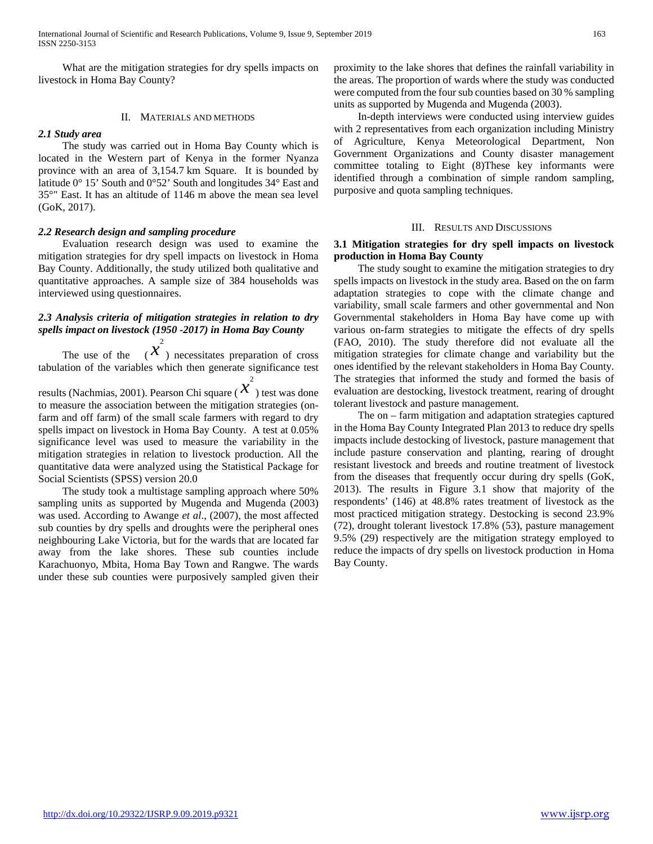What are the mitigation strategies for dry spells impacts on livestock in Homa Bay County?

#### II. MATERIALS AND METHODS

#### *2.1 Study area*

 The study was carried out in Homa Bay County which is located in the Western part of Kenya in the former Nyanza province with an area of 3,154.7 km Square. It is bounded by latitude 0° 15' South and 0°52' South and longitudes 34° East and 35°" East. It has an altitude of 1146 m above the mean sea level (GoK, 2017).

#### *2.2 Research design and sampling procedure*

 Evaluation research design was used to examine the mitigation strategies for dry spell impacts on livestock in Homa Bay County. Additionally, the study utilized both qualitative and quantitative approaches. A sample size of 384 households was interviewed using questionnaires.

# *2.3 Analysis criteria of mitigation strategies in relation to dry spells impact on livestock (1950 -2017) in Homa Bay County*

The use of the  $(x^2)$  necessitates preparation of cross 2 tabulation of the variables which then generate significance test

results (Nachmias, 2001). Pearson Chi square ( $\chi^2$ ) test was done 2 to measure the association between the mitigation strategies (onfarm and off farm) of the small scale farmers with regard to dry spells impact on livestock in Homa Bay County. A test at 0.05% significance level was used to measure the variability in the mitigation strategies in relation to livestock production. All the quantitative data were analyzed using the Statistical Package for Social Scientists (SPSS) version 20.0

 The study took a multistage sampling approach where 50% sampling units as supported by Mugenda and Mugenda (2003) was used. According to Awange *et al*., (2007), the most affected sub counties by dry spells and droughts were the peripheral ones neighbouring Lake Victoria, but for the wards that are located far away from the lake shores. These sub counties include Karachuonyo, Mbita, Homa Bay Town and Rangwe. The wards under these sub counties were purposively sampled given their

proximity to the lake shores that defines the rainfall variability in the areas. The proportion of wards where the study was conducted were computed from the four sub counties based on 30 % sampling units as supported by Mugenda and Mugenda (2003).

 In-depth interviews were conducted using interview guides with 2 representatives from each organization including Ministry of Agriculture, Kenya Meteorological Department, Non Government Organizations and County disaster management committee totaling to Eight (8)These key informants were identified through a combination of simple random sampling, purposive and quota sampling techniques.

#### III. RESULTS AND DISCUSSIONS

## **3.1 Mitigation strategies for dry spell impacts on livestock production in Homa Bay County**

 The study sought to examine the mitigation strategies to dry spells impacts on livestock in the study area. Based on the on farm adaptation strategies to cope with the climate change and variability, small scale farmers and other governmental and Non Governmental stakeholders in Homa Bay have come up with various on-farm strategies to mitigate the effects of dry spells (FAO, 2010). The study therefore did not evaluate all the mitigation strategies for climate change and variability but the ones identified by the relevant stakeholders in Homa Bay County. The strategies that informed the study and formed the basis of evaluation are destocking, livestock treatment, rearing of drought tolerant livestock and pasture management.

 The on – farm mitigation and adaptation strategies captured in the Homa Bay County Integrated Plan 2013 to reduce dry spells impacts include destocking of livestock, pasture management that include pasture conservation and planting, rearing of drought resistant livestock and breeds and routine treatment of livestock from the diseases that frequently occur during dry spells (GoK, 2013). The results in Figure 3.1 show that majority of the respondents' (146) at 48.8% rates treatment of livestock as the most practiced mitigation strategy. Destocking is second 23.9% (72), drought tolerant livestock 17.8% (53), pasture management 9.5% (29) respectively are the mitigation strategy employed to reduce the impacts of dry spells on livestock production in Homa Bay County.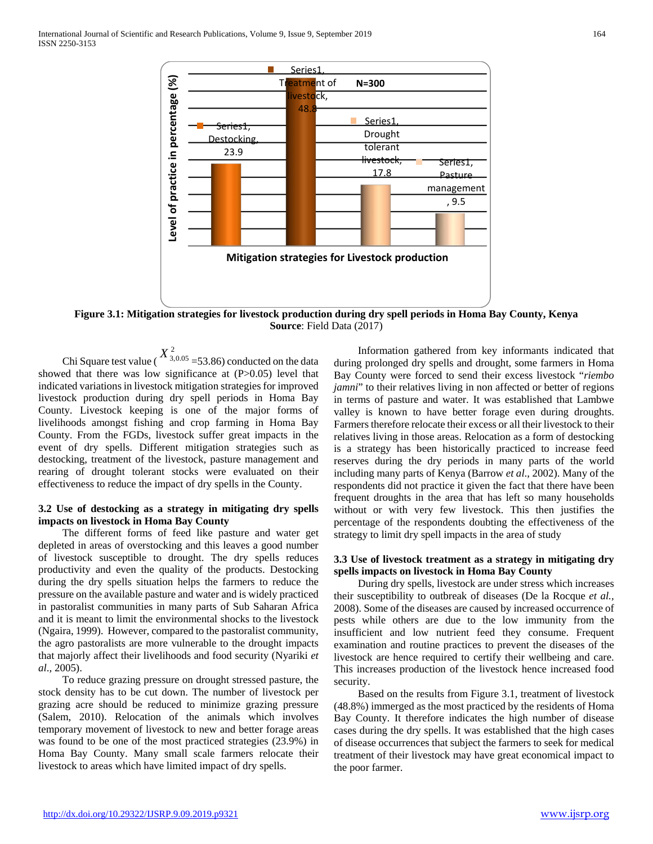

**Figure 3.1: Mitigation strategies for livestock production during dry spell periods in Homa Bay County, Kenya Source**: Field Data (2017)

Chi Square test value ( $X^2$ <sup>3,0.05</sup> = 53.86) conducted on the data showed that there was low significance at (P>0.05) level that indicated variations in livestock mitigation strategies for improved livestock production during dry spell periods in Homa Bay County. Livestock keeping is one of the major forms of livelihoods amongst fishing and crop farming in Homa Bay County. From the FGDs, livestock suffer great impacts in the event of dry spells. Different mitigation strategies such as destocking, treatment of the livestock, pasture management and rearing of drought tolerant stocks were evaluated on their effectiveness to reduce the impact of dry spells in the County.

## **3.2 Use of destocking as a strategy in mitigating dry spells impacts on livestock in Homa Bay County**

 The different forms of feed like pasture and water get depleted in areas of overstocking and this leaves a good number of livestock susceptible to drought. The dry spells reduces productivity and even the quality of the products. Destocking during the dry spells situation helps the farmers to reduce the pressure on the available pasture and water and is widely practiced in pastoralist communities in many parts of Sub Saharan Africa and it is meant to limit the environmental shocks to the livestock (Ngaira, 1999). However, compared to the pastoralist community, the agro pastoralists are more vulnerable to the drought impacts that majorly affect their livelihoods and food security (Nyariki *et al*., 2005).

 To reduce grazing pressure on drought stressed pasture, the stock density has to be cut down. The number of livestock per grazing acre should be reduced to minimize grazing pressure (Salem, 2010). Relocation of the animals which involves temporary movement of livestock to new and better forage areas was found to be one of the most practiced strategies (23.9%) in Homa Bay County. Many small scale farmers relocate their livestock to areas which have limited impact of dry spells.

 Information gathered from key informants indicated that during prolonged dry spells and drought, some farmers in Homa Bay County were forced to send their excess livestock "*riembo jamni*" to their relatives living in non affected or better of regions in terms of pasture and water. It was established that Lambwe valley is known to have better forage even during droughts. Farmers therefore relocate their excess or all their livestock to their relatives living in those areas. Relocation as a form of destocking is a strategy has been historically practiced to increase feed reserves during the dry periods in many parts of the world including many parts of Kenya (Barrow *et al*., 2002). Many of the respondents did not practice it given the fact that there have been frequent droughts in the area that has left so many households without or with very few livestock. This then justifies the percentage of the respondents doubting the effectiveness of the strategy to limit dry spell impacts in the area of study

#### **3.3 Use of livestock treatment as a strategy in mitigating dry spells impacts on livestock in Homa Bay County**

 During dry spells, livestock are under stress which increases their susceptibility to outbreak of diseases (De la Rocque *et al.,* 2008). Some of the diseases are caused by increased occurrence of pests while others are due to the low immunity from the insufficient and low nutrient feed they consume. Frequent examination and routine practices to prevent the diseases of the livestock are hence required to certify their wellbeing and care. This increases production of the livestock hence increased food security.

 Based on the results from Figure 3.1, treatment of livestock (48.8%) immerged as the most practiced by the residents of Homa Bay County. It therefore indicates the high number of disease cases during the dry spells. It was established that the high cases of disease occurrences that subject the farmers to seek for medical treatment of their livestock may have great economical impact to the poor farmer.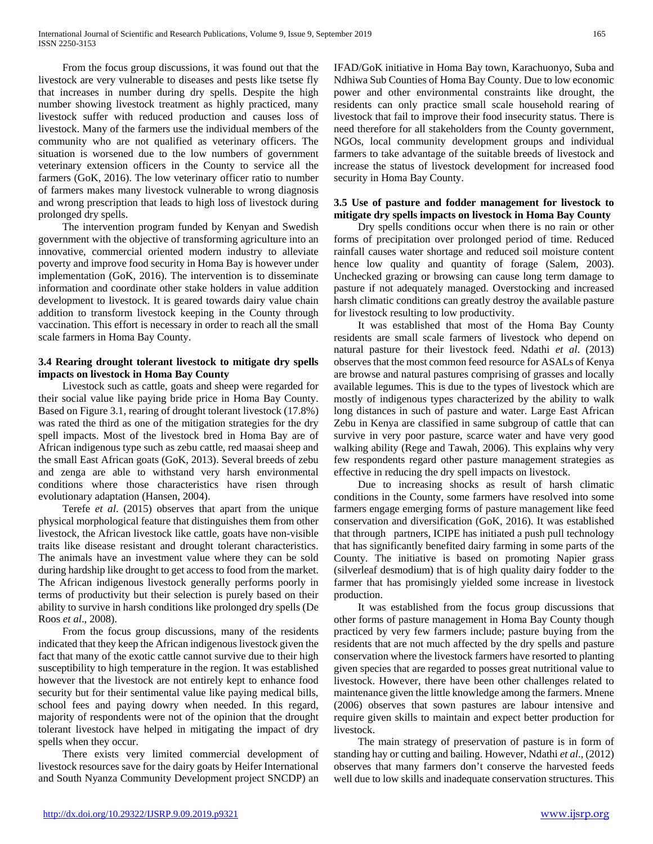From the focus group discussions, it was found out that the livestock are very vulnerable to diseases and pests like tsetse fly that increases in number during dry spells. Despite the high number showing livestock treatment as highly practiced, many livestock suffer with reduced production and causes loss of livestock. Many of the farmers use the individual members of the community who are not qualified as veterinary officers. The situation is worsened due to the low numbers of government veterinary extension officers in the County to service all the farmers (GoK, 2016). The low veterinary officer ratio to number of farmers makes many livestock vulnerable to wrong diagnosis and wrong prescription that leads to high loss of livestock during prolonged dry spells.

 The intervention program funded by Kenyan and Swedish government with the objective of transforming agriculture into an innovative, commercial oriented modern industry to alleviate poverty and improve food security in Homa Bay is however under implementation (GoK, 2016). The intervention is to disseminate information and coordinate other stake holders in value addition development to livestock. It is geared towards dairy value chain addition to transform livestock keeping in the County through vaccination. This effort is necessary in order to reach all the small scale farmers in Homa Bay County.

# **3.4 Rearing drought tolerant livestock to mitigate dry spells impacts on livestock in Homa Bay County**

 Livestock such as cattle, goats and sheep were regarded for their social value like paying bride price in Homa Bay County. Based on Figure 3.1, rearing of drought tolerant livestock (17.8%) was rated the third as one of the mitigation strategies for the dry spell impacts. Most of the livestock bred in Homa Bay are of African indigenous type such as zebu cattle, red maasai sheep and the small East African goats (GoK, 2013). Several breeds of zebu and zenga are able to withstand very harsh environmental conditions where those characteristics have risen through evolutionary adaptation (Hansen, 2004).

 Terefe *et al*. (2015) observes that apart from the unique physical morphological feature that distinguishes them from other livestock, the African livestock like cattle, goats have non-visible traits like disease resistant and drought tolerant characteristics. The animals have an investment value where they can be sold during hardship like drought to get access to food from the market. The African indigenous livestock generally performs poorly in terms of productivity but their selection is purely based on their ability to survive in harsh conditions like prolonged dry spells (De Roos *et al*., 2008).

 From the focus group discussions, many of the residents indicated that they keep the African indigenous livestock given the fact that many of the exotic cattle cannot survive due to their high susceptibility to high temperature in the region. It was established however that the livestock are not entirely kept to enhance food security but for their sentimental value like paying medical bills, school fees and paying dowry when needed. In this regard, majority of respondents were not of the opinion that the drought tolerant livestock have helped in mitigating the impact of dry spells when they occur.

 There exists very limited commercial development of livestock resources save for the dairy goats by Heifer International and South Nyanza Community Development project SNCDP) an

IFAD/GoK initiative in Homa Bay town, Karachuonyo, Suba and Ndhiwa Sub Counties of Homa Bay County. Due to low economic power and other environmental constraints like drought, the residents can only practice small scale household rearing of livestock that fail to improve their food insecurity status. There is need therefore for all stakeholders from the County government, NGOs, local community development groups and individual farmers to take advantage of the suitable breeds of livestock and increase the status of livestock development for increased food security in Homa Bay County.

## **3.5 Use of pasture and fodder management for livestock to mitigate dry spells impacts on livestock in Homa Bay County**

 Dry spells conditions occur when there is no rain or other forms of precipitation over prolonged period of time. Reduced rainfall causes water shortage and reduced soil moisture content hence low quality and quantity of forage (Salem, 2003). Unchecked grazing or browsing can cause long term damage to pasture if not adequately managed. Overstocking and increased harsh climatic conditions can greatly destroy the available pasture for livestock resulting to low productivity.

 It was established that most of the Homa Bay County residents are small scale farmers of livestock who depend on natural pasture for their livestock feed. Ndathi *et al*. (2013) observes that the most common feed resource for ASALs of Kenya are browse and natural pastures comprising of grasses and locally available legumes. This is due to the types of livestock which are mostly of indigenous types characterized by the ability to walk long distances in such of pasture and water. Large East African Zebu in Kenya are classified in same subgroup of cattle that can survive in very poor pasture, scarce water and have very good walking ability (Rege and Tawah, 2006). This explains why very few respondents regard other pasture management strategies as effective in reducing the dry spell impacts on livestock.

 Due to increasing shocks as result of harsh climatic conditions in the County, some farmers have resolved into some farmers engage emerging forms of pasture management like feed conservation and diversification (GoK, 2016). It was established that through partners, ICIPE has initiated a push pull technology that has significantly benefited dairy farming in some parts of the County. The initiative is based on promoting Napier grass (silverleaf desmodium) that is of high quality dairy fodder to the farmer that has promisingly yielded some increase in livestock production.

 It was established from the focus group discussions that other forms of pasture management in Homa Bay County though practiced by very few farmers include; pasture buying from the residents that are not much affected by the dry spells and pasture conservation where the livestock farmers have resorted to planting given species that are regarded to posses great nutritional value to livestock. However, there have been other challenges related to maintenance given the little knowledge among the farmers. Mnene (2006) observes that sown pastures are labour intensive and require given skills to maintain and expect better production for livestock.

 The main strategy of preservation of pasture is in form of standing hay or cutting and bailing. However, Ndathi *et al*., (2012) observes that many farmers don't conserve the harvested feeds well due to low skills and inadequate conservation structures. This